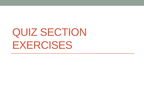# QUIZ SECTION EXERCISES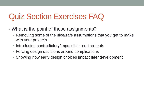### Quiz Section Exercises FAQ

- What is the point of these assignments?
	- Removing some of the nice/safe assumptions that you get to make with your projects
	- Introducing contradictory/impossible requirements
	- Forcing design decisions around complications
	- Showing how early design choices impact later development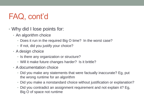## FAQ, cont'd

- Why did I lose points for:
	- An algorithm choice
		- Does it run in the required Big O time? In the worst case?
		- If not, did you justify your choice?
	- A design choice
		- Is there any organization or structure?
		- Will it make future changes harder? Is it brittle?
	- A documentation choice
		- Did you make any statements that were factually inaccurate? Eg, put the wrong runtime for an algorithm
		- Did you make a nonstandard choice without justification or explanation?
		- Did you contradict an assignment requirement and not explain it? Eg, Big O of space not runtime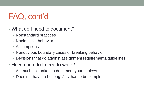## FAQ, cont'd

- What do I need to document?
	- Nonstandard practices
	- Nonintuitive behavior
	- Assumptions
	- Nonobvious boundary cases or breaking behavior
	- Decisions that go against assignment requirements/guidelines
- How much do I need to write?
	- As much as it takes to document your choices.
	- Does not have to be long! Just has to be complete.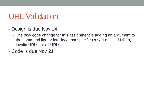#### URL Validation

- Design is due Nov 14
	- The *only* code change for this assignment is adding an argument to the command line or interface that specifies a sort of: valid URLs, invalid URLs, or all URLs.
- Code is due Nov 21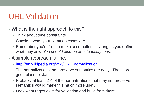### URL Validation

- What is the right approach to this?
	- Think about time constraints
	- Consider what your common cases are
	- Remember you're free to make assumptions as long as you define what they are. *You should also be able to justify them*.
- A simple approach is fine.
	- [http://en.wikipedia.org/wiki/URL\\_normalization](http://en.wikipedia.org/wiki/URL_normalization)
	- The normalizations that preserve semantics are easy. These are a good place to start.
	- Probably at least 2-4 of the normalizations that may not preserve semantics would make this much more useful.
	- Look what regex exist for validation and build from there.